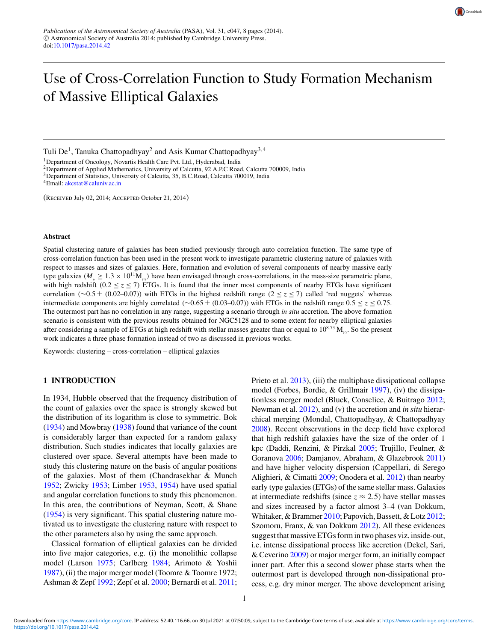

# Use of Cross-Correlation Function to Study Formation Mechanism of Massive Elliptical Galaxies

Tuli De<sup>1</sup>, Tanuka Chattopadhyay<sup>2</sup> and Asis Kumar Chattopadhyay<sup>3,4</sup>

<sup>1</sup>Department of Oncology, Novartis Health Care Pvt. Ltd., Hyderabad, India

<sup>2</sup>Department of Applied Mathematics, University of Calcutta, 92 A.P.C Road, Calcutta 700009, India

<sup>3</sup>Department of Statistics, University of Calcutta, 35, B.C.Road, Calcutta 700019, India

(Received July 02, 2014; Accepted October 21, 2014)

#### **Abstract**

Spatial clustering nature of galaxies has been studied previously through auto correlation function. The same type of cross-correlation function has been used in the present work to investigate parametric clustering nature of galaxies with respect to masses and sizes of galaxies. Here, formation and evolution of several components of nearby massive early type galaxies ( $M_* \ge 1.3 \times 10^{11} M_{\odot}$ ) have been envisaged through cross-correlations, in the mass-size parametric plane, with high redshift (0.2  $\leq$  *z*  $\leq$  7) ETGs. It is found that the inner most components of nearby ETGs have significant correlation (∼0.5 ± (0.02–0.07)) with ETGs in the highest redshift range (2 ≤ *z* ≤ 7) called 'red nuggets' whereas intermediate components are highly correlated (∼0.65 ± (0.03–0.07)) with ETGs in the redshift range 0.5 ≤ *z* ≤ 0.75. The outermost part has no correlation in any range, suggesting a scenario through *in situ* accretion. The above formation scenario is consistent with the previous results obtained for NGC5128 and to some extent for nearby elliptical galaxies after considering a sample of ETGs at high redshift with stellar masses greater than or equal to  $10^{8.73}$  M<sub>⊙</sub>. So the present work indicates a three phase formation instead of two as discussed in previous works.

Keywords: clustering – cross-correlation – elliptical galaxies

## **1 INTRODUCTION**

In 1934, Hubble observed that the frequency distribution of the count of galaxies over the space is strongly skewed but the distribution of its logarithm is close to symmetric. Bok (1934) and Mowbray (1938) found that variance of the count is considerably larger than expected for a random galaxy distribution. Such studies indicates that locally galaxies are clustered over space. Several attempts have been made to study this clustering nature on the basis of angular positions of the galaxies. Most of them (Chandrasekhar & Munch 1952; Zwicky 1953; Limber 1953, 1954) have used spatial and angular correlation functions to study this phenomenon. In this area, the contributions of Neyman, Scott, & Shane (1954) is very significant. This spatial clustering nature motivated us to investigate the clustering nature with respect to the other parameters also by using the same approach.

Classical formation of elliptical galaxies can be divided into five major categories, e.g. (i) the monolithic collapse model (Larson 1975; Carlberg 1984; Arimoto & Yoshii 1987), (ii) the major merger model (Toomre & Toomre 1972; Ashman & Zepf 1992; Zepf et al. 2000; Bernardi et al. 2011; Prieto et al. 2013), (iii) the multiphase dissipational collapse model (Forbes, Bordie, & Grillmair 1997), (iv) the dissipationless merger model (Bluck, Conselice, & Buitrago 2012; Newman et al. 2012), and (v) the accretion and *in situ* hierarchical merging (Mondal, Chattopadhyay, & Chattopadhyay 2008). Recent observations in the deep field have explored that high redshift galaxies have the size of the order of 1 kpc (Daddi, Renzini, & Pirzkal 2005; Trujillo, Feulner, & Goranova 2006; Damjanov, Abraham, & Glazebrook 2011) and have higher velocity dispersion (Cappellari, di Serego Alighieri, & Cimatti 2009; Onodera et al. 2012) than nearby early type galaxies (ETGs) of the same stellar mass. Galaxies at intermediate redshifts (since  $z \approx 2.5$ ) have stellar masses and sizes increased by a factor almost 3–4 (van Dokkum, Whitaker, & Brammer 2010; Papovich, Bassett, & Lotz 2012; Szomoru, Franx, & van Dokkum 2012). All these evidences suggest that massive ETGs form in two phases viz. inside-out, i.e. intense dissipational process like accretion (Dekel, Sari, & Ceverino 2009) or major merger form, an initially compact inner part. After this a second slower phase starts when the outermost part is developed through non-dissipational process, e.g. dry minor merger. The above development arising

<sup>&</sup>lt;sup>4</sup>Email: akcstat@caluniv.ac.in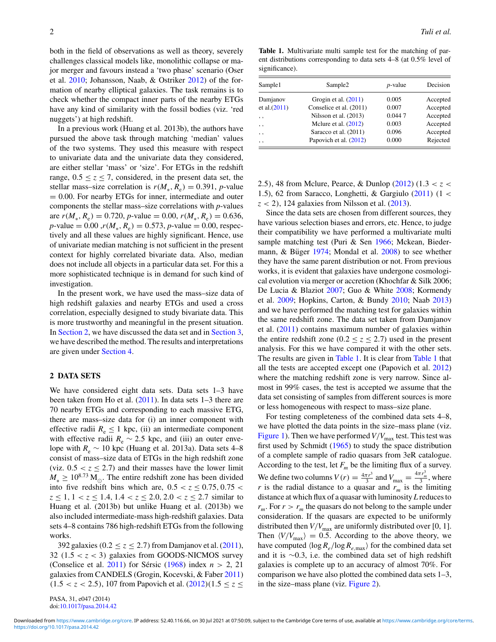both in the field of observations as well as theory, severely challenges classical models like, monolithic collapse or major merger and favours instead a 'two phase' scenario (Oser et al. 2010; Johansson, Naab, & Ostriker 2012) of the formation of nearby elliptical galaxies. The task remains is to check whether the compact inner parts of the nearby ETGs have any kind of similarity with the fossil bodies (viz. 'red nuggets') at high redshift.

In a previous work (Huang et al. 2013b), the authors have pursued the above task through matching 'median' values of the two systems. They used this measure with respect to univariate data and the univariate data they considered, are either stellar 'mass' or 'size'. For ETGs in the redshift range,  $0.5 \le z \le 7$ , considered, in the present data set, the stellar mass–size correlation is  $r(M_*, R_e) = 0.391$ , *p*-value  $= 0.00$ . For nearby ETGs for inner, intermediate and outer components the stellar mass–size correlations with *p*-values are  $r(M_*, R_e) = 0.720$ , *p*-value = 0.00,  $r(M_*, R_e) = 0.636$ ,  $p$ -value = 0.00,  $r(M_*, R_e) = 0.573$ ,  $p$ -value = 0.00, respectively and all these values are highly significant. Hence, use of univariate median matching is not sufficient in the present context for highly correlated bivariate data. Also, median does not include all objects in a particular data set. For this a more sophisticated technique is in demand for such kind of investigation.

In the present work, we have used the mass–size data of high redshift galaxies and nearby ETGs and used a cross correlation, especially designed to study bivariate data. This is more trustworthy and meaningful in the present situation. In Section 2, we have discussed the data set and in Section 3, we have described the method. The results and interpretations are given under Section 4.

### **2 DATA SETS**

We have considered eight data sets. Data sets 1–3 have been taken from Ho et al. (2011). In data sets 1–3 there are 70 nearby ETGs and corresponding to each massive ETG, there are mass–size data for (i) an inner component with effective radii  $R_e \leq 1$  kpc, (ii) an intermediate component with effective radii  $R_e \sim 2.5$  kpc, and (iii) an outer envelope with  $R_e \sim 10$  kpc (Huang et al. 2013a). Data sets 4–8 consist of mass–size data of ETGs in the high redshift zone (viz.  $0.5 < z \leq 2.7$ ) and their masses have the lower limit  $M_* \geq 10^{8.73}$  M<sub>∞</sub>. The entire redshift zone has been divided into five redshift bins which are,  $0.5 < z < 0.75$ ,  $0.75 < z < 0.75$  $z \leq 1, 1 < z \leq 1.4, 1.4 < z \leq 2.0, 2.0 < z \leq 2.7$  similar to Huang et al. (2013b) but unlike Huang et al. (2013b) we also included intermediate-mass high-redshift galaxies. Data sets 4–8 contains 786 high-redshift ETGs from the following works.

392 galaxies ( $0.2 < z < 2.7$ ) from Damjanov et al. (2011), 32  $(1.5 < z < 3)$  galaxies from GOODS-NICMOS survey (Conselice et al.  $2011$ ) for Sérsic (1968) index  $n > 2$ , 21 galaxies from CANDELS (Grogin, Kocevski, & Faber 2011)  $(1.5 < z < 2.5)$ , 107 from Papovich et al.  $(2012)(1.5 \le z \le$ 

PASA, 31, e047 (2014) doi:10.1017/pasa.2014.42

**Table 1.** Multivariate multi sample test for the matching of parent distributions corresponding to data sets 4–8 (at 0.5% level of significance).

| Sample1         | Sample <sub>2</sub>     | $p$ -value | Decision |
|-----------------|-------------------------|------------|----------|
| Damjanov        | Grogin et al. $(2011)$  | 0.005      | Accepted |
| et al. (2011)   | Conselice et al. (2011) | 0.007      | Accepted |
| , ,             | Nilsson et al. (2013)   | 0.0447     | Accepted |
| , ,             | Melure et al. $(2012)$  | 0.003      | Accepted |
| , ,             | Saracco et al. (2011)   | 0.096      | Accepted |
| $, \, \, \cdot$ | Papovich et al. (2012)  | 0.000      | Rejected |

2.5), 48 from Mclure, Pearce, & Dunlop (2012) (1.3 < *z* < 1.5), 62 from Saracco, Longhetti, & Gargiulo  $(2011)$  (1 <  $z$  < 2), 124 galaxies from Nilsson et al. (2013).

Since the data sets are chosen from different sources, they have various selection biases and errors, etc. Hence, to judge their compatibility we have performed a multivariate multi sample matching test (Puri & Sen 1966; Mckean, Biedermann,  $\&$  Büger 1974; Mondal et al. 2008) to see whether they have the same parent distribution or not. From previous works, it is evident that galaxies have undergone cosmological evolution via merger or accretion (Khochfar & Silk 2006; De Lucia & Blaziot 2007; Guo & White 2008; Kormendy et al. 2009; Hopkins, Carton, & Bundy 2010; Naab 2013) and we have performed the matching test for galaxies within the same redshift zone. The data set taken from Damjanov et al. (2011) contains maximum number of galaxies within the entire redshift zone ( $0.2 \le z \le 2.7$ ) used in the present analysis. For this we have compared it with the other sets. The results are given in Table 1. It is clear from Table 1 that all the tests are accepted except one (Papovich et al. 2012) where the matching redshift zone is very narrow. Since almost in 99% cases, the test is accepted we assume that the data set consisting of samples from different sources is more or less homogeneous with respect to mass–size plane.

For testing completeness of the combined data sets 4–8, we have plotted the data points in the size–mass plane (viz. Figure 1). Then we have performed  $V/V_{\text{max}}$  test. This test was first used by Schmidt (1965) to study the space distribution of a complete sample of radio quasars from 3eR catalogue. According to the test, let  $F_m$  be the limiting flux of a survey. We define two columns  $V(r) = \frac{4\pi r^3}{3}$  $rac{\tau r^3}{3}$  and  $V_{\text{max}} = \frac{4\pi r_m^3}{3}$ , where *r* is the radial distance to a quasar and  $r_m$  is the limiting distance at which flux of a quasar with luminosity *L* reduces to  $r_m$ . For  $r > r_m$  the quasars do not belong to the sample under consideration. If the quasars are expected to be uniformly distributed then  $V/V_{\text{max}}$  are uniformly distributed over [0, 1]. Then  $\langle V/V_{\text{max}} \rangle = 0.5$ . According to the above theory, we have computed  $\langle \log R_e / \log R_{e, \max} \rangle$  for the combined data set and it is ∼0.3, i.e. the combined data set of high redshift galaxies is complete up to an accuracy of almost 70%. For comparison we have also plotted the combined data sets 1–3, in the size–mass plane (viz. Figure 2).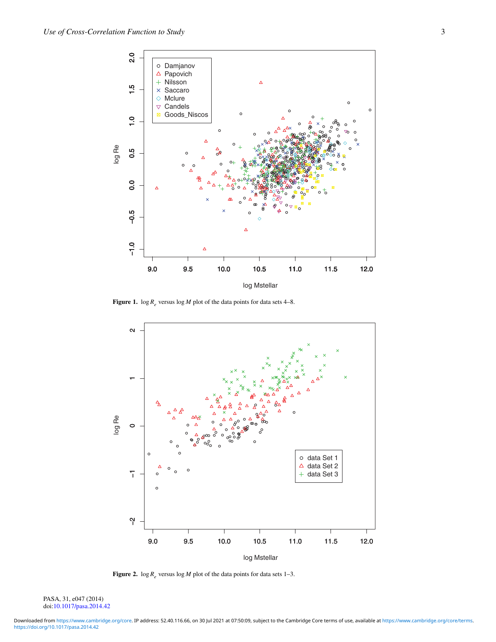

**Figure 1.**  $\log R_e$  versus  $\log M$  plot of the data points for data sets 4–8.



**Figure 2.**  $\log R_e$  versus  $\log M$  plot of the data points for data sets 1–3.

PASA, 31, e047 (2014) doi:10.1017/pasa.2014.42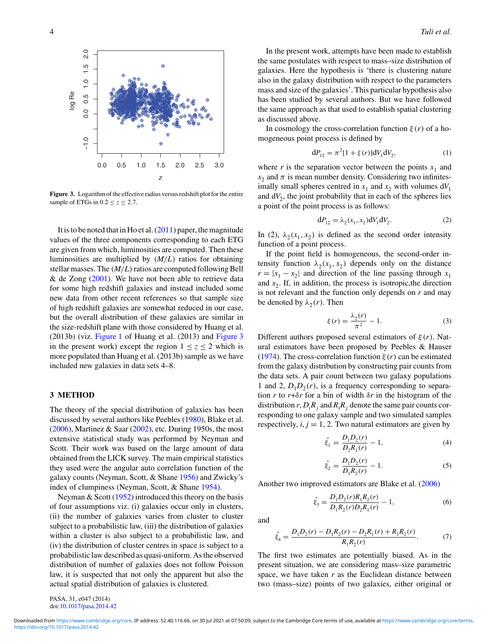

**Figure 3.** Logarithm of the effective radius versus redshift plot for the entire sample of ETGs in  $0.2 \le z \le 2.7$ .

It is to be noted that in Ho et al. (2011) paper, the magnitude values of the three components corresponding to each ETG are given from which, luminosities are computed. Then these luminosities are multiplied by (*M*/*L*) ratios for obtaining stellar masses. The  $(M/L)$  ratios are computed following Bell & de Zong  $(2001)$ . We have not been able to retrieve data for some high redshift galaxies and instead included some new data from other recent references so that sample size of high redshift galaxies are somewhat reduced in our case, but the overall distribution of these galaxies are similar in the size-redshift plane with those considered by Huang et al. (2013b) (viz. Figure 1 of Huang et al. (2013) and Figure 3 in the present work) except the region  $1 < z < 2$  which is more populated than Huang et al. (2013b) sample as we have included new galaxies in data sets 4–8.

## **3 METHOD**

The theory of the special distribution of galaxies has been discussed by several authors like Peebles (1980), Blake et al.  $(2006)$ , Martinez & Saar  $(2002)$ , etc. During 1950s, the most extensive statistical study was performed by Neyman and Scott. Their work was based on the large amount of data obtained from the LICK survey. The main empirical statistics they used were the angular auto correlation function of the galaxy counts (Neyman, Scott, & Shane 1956) and Zwicky's index of clumpiness (Neyman, Scott, & Shane 1954).

Neyman  $& Scott (1952)$  introduced this theory on the basis of four assumptions viz. (i) galaxies occur only in clusters, (ii) the number of galaxies varies from cluster to cluster subject to a probabilistic law, (iii) the distribution of galaxies within a cluster is also subject to a probabilistic law, and (iv) the distribution of cluster centres in space is subject to a probabilistic law described as quasi-uniform. As the observed distribution of number of galaxies does not follow Poisson law, it is suspected that not only the apparent but also the actual spatial distribution of galaxies is clustered.

In the present work, attempts have been made to establish the same postulates with respect to mass–size distribution of galaxies. Here the hypothesis is 'there is clustering nature also in the galaxy distribution with respect to the parameters mass and size of the galaxies'. This particular hypothesis also has been studied by several authors. But we have followed the same approach as that used to establish spatial clustering as discussed above.

In cosmology the cross-correlation function  $\xi(r)$  of a homogeneous point process is defined by

$$
dP_{12} = \pi^2 [1 + \xi(r)] dV_1 dV_2, \qquad (1)
$$

where  $r$  is the separation vector between the points  $x_1$  and  $x_2$  and  $\pi$  is mean number density. Considering two infinitesimally small spheres centred in  $x_1$  and  $x_2$  with volumes  $dV_1$ and  $dV_2$ , the joint probability that in each of the spheres lies a point of the point process is as follows:

$$
dP_{12} = \lambda_2(x_1, x_2) dV_1 dV_2.
$$
 (2)

In (2),  $\lambda_2(x_1, x_2)$  is defined as the second order intensity function of a point process.

If the point field is homogeneous, the second-order intensity function  $\lambda_2(x_1, x_2)$  depends only on the distance  $r = |x_1 - x_2|$  and direction of the line passing through  $x_1$ and  $x_2$ . If, in addition, the process is isotropic, the direction is not relevant and the function only depends on *r* and may be denoted by  $\lambda_2(r)$ . Then

$$
\xi(r) = \frac{\lambda_2(r)}{\pi^2} - 1.
$$
 (3)

Different authors proposed several estimators of  $\xi(r)$ . Natural estimators have been proposed by Peebles & Hauser (1974). The cross-correlation function  $\xi(r)$  can be estimated from the galaxy distribution by constructing pair counts from the data sets. A pair count between two galaxy populations 1 and 2,  $D_1 D_2(r)$ , is a frequency corresponding to separation *r* to  $r + \delta r$  for a bin of width  $\delta r$  in the histogram of the distribution  $r$ ,  $D_iR_j$  and  $R_iR_j$  denote the same pair counts corresponding to one galaxy sample and two simulated samples respectively,  $i, j = 1, 2$ . Two natural estimators are given by

$$
\hat{\xi}_1 = \frac{D_1 D_2(r)}{D_2 R_1(r)} - 1,\tag{4}
$$

$$
\hat{\xi}_2 = \frac{D_1 D_2(r)}{D_1 R_2(r)} - 1.
$$
\n(5)

Another two improved estimators are Blake et al. (2006)

$$
\hat{\xi}_3 = \frac{D_1 D_2(r) R_1 R_2(r)}{D_1 R_2(r) D_2 R_1(r)} - 1,\tag{6}
$$

and

$$
\hat{\xi}_4 = \frac{D_1 D_2(r) - D_1 R_2(r) - D_2 R_1(r) + R_1 R_2(r)}{R_1 R_2(r)}.\tag{7}
$$

The first two estimates are potentially biased. As in the present situation, we are considering mass–size parametric space, we have taken *r* as the Euclidean distance between two (mass–size) points of two galaxies, either original or

PASA, 31, e047 (2014) doi:10.1017/pasa.2014.42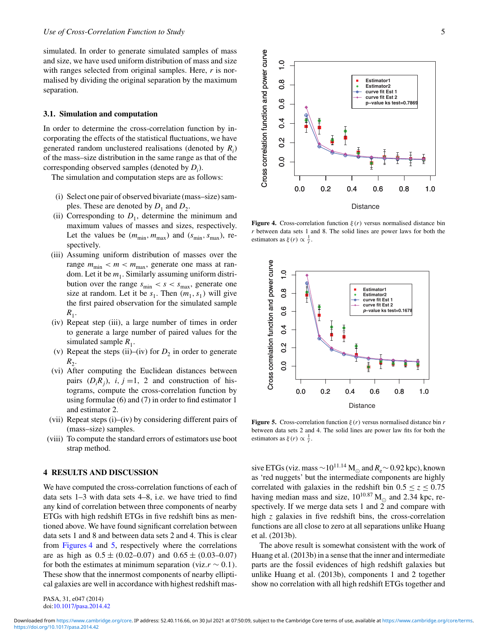simulated. In order to generate simulated samples of mass and size, we have used uniform distribution of mass and size with ranges selected from original samples. Here, *r* is normalised by dividing the original separation by the maximum separation.

## **3.1. Simulation and computation**

In order to determine the cross-correlation function by incorporating the effects of the statistical fluctuations, we have generated random unclustered realisations (denoted by *R<sup>i</sup>* ) of the mass–size distribution in the same range as that of the corresponding observed samples (denoted by *D<sup>i</sup>* ).

The simulation and computation steps are as follows:

- (i) Select one pair of observed bivariate (mass–size) samples. These are denoted by  $D_1$  and  $D_2$ .
- (ii) Corresponding to  $D_1$ , determine the minimum and maximum values of masses and sizes, respectively. Let the values be  $(m_{\min}, m_{\max})$  and  $(s_{\min}, s_{\max})$ , respectively.
- (iii) Assuming uniform distribution of masses over the range  $m_{\text{min}} < m < m_{\text{max}}$ , generate one mass at random. Let it be  $m_1$ . Similarly assuming uniform distribution over the range  $s_{\text{min}} < s < s_{\text{max}}$ , generate one size at random. Let it be  $s_1$ . Then  $(m_1, s_1)$  will give the first paired observation for the simulated sample  $R_1$ .
- (iv) Repeat step (iii), a large number of times in order to generate a large number of paired values for the simulated sample  $R_1$ .
- (v) Repeat the steps (ii)–(iv) for  $D_2$  in order to generate  $R_2$ .
- (vi) After computing the Euclidean distances between pairs  $(D_i R_j)$ , *i*, *j* =1, 2 and construction of histograms, compute the cross-correlation function by using formulae (6) and (7) in order to find estimator 1 and estimator 2.
- (vii) Repeat steps (i)–(iv) by considering different pairs of (mass–size) samples.
- (viii) To compute the standard errors of estimators use boot strap method.

## **4 RESULTS AND DISCUSSION**

We have computed the cross-correlation functions of each of data sets 1–3 with data sets 4–8, i.e. we have tried to find any kind of correlation between three components of nearby ETGs with high redshift ETGs in five redshift bins as mentioned above. We have found significant correlation between data sets 1 and 8 and between data sets 2 and 4. This is clear from Figures 4 and 5, respectively where the correlations are as high as  $0.5 \pm (0.02{\text -}0.07)$  and  $0.65 \pm (0.03{\text -}0.07)$ for both the estimates at minimum separation (viz. $r \sim 0.1$ ). These show that the innermost components of nearby elliptical galaxies are well in accordance with highest redshift mas-

PASA, 31, e047 (2014) doi:10.1017/pasa.2014.42



**Figure 4.** Cross-correlation function  $\xi(r)$  versus normalised distance bin *r* between data sets 1 and 8. The solid lines are power laws for both the estimators as  $\xi(r) \propto \frac{1}{r}$ .



**Figure 5.** Cross-correlation function  $\xi(r)$  versus normalised distance bin *r* between data sets 2 and 4. The solid lines are power law fits for both the estimators as  $\xi(r) \propto \frac{1}{r}$ .

sive ETGs (viz. mass ∼10<sup>11.14</sup> M<sub>☉</sub> and  $R_e$  ∼ 0.92 kpc), known as 'red nuggets' but the intermediate components are highly correlated with galaxies in the redshift bin  $0.5 \le z \le 0.75$ having median mass and size,  $10^{10.87}$  M<sub>o</sub> and 2.34 kpc, respectively. If we merge data sets 1 and  $\tilde{2}$  and compare with high *z* galaxies in five redshift bins, the cross-correlation functions are all close to zero at all separations unlike Huang et al. (2013b).

The above result is somewhat consistent with the work of Huang et al. (2013b) in a sense that the inner and intermediate parts are the fossil evidences of high redshift galaxies but unlike Huang et al. (2013b), components 1 and 2 together show no correlation with all high redshift ETGs together and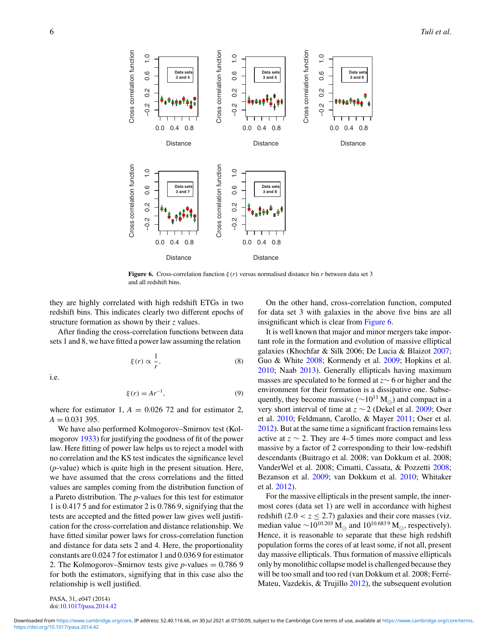

**Figure 6.** Cross-correlation function ξ (*r*) versus normalised distance bin *r* between data set 3 and all redshift bins.

they are highly correlated with high redshift ETGs in two redshift bins. This indicates clearly two different epochs of structure formation as shown by their *z* values.

After finding the cross-correlation functions between data sets 1 and 8, we have fitted a power law assuming the relation

$$
\xi(r) \propto \frac{1}{r},\tag{8}
$$

i.e.

$$
\xi(r) = Ar^{-1},\tag{9}
$$

where for estimator 1,  $A = 0.026$  72 and for estimator 2,  $A = 0.031395$ .

We have also performed Kolmogorov–Smirnov test (Kolmogorov 1933) for justifying the goodness of fit of the power law. Here fitting of power law helps us to reject a model with no correlation and the KS test indicates the significance level (*p*-value) which is quite high in the present situation. Here, we have assumed that the cross correlations and the fitted values are samples coming from the distribution function of a Pareto distribution. The *p*-values for this test for estimator 1 is 0.417 5 and for estimator 2 is 0.786 9, signifying that the tests are accepted and the fitted power law gives well justification for the cross-correlation and distance relationship. We have fitted similar power laws for cross-correlation function and distance for data sets 2 and 4. Here, the proportionality constants are 0.024 7 for estimator 1 and 0.036 9 for estimator 2. The Kolmogorov–Smirnov tests give *p*-values  $= 0.7869$ for both the estimators, signifying that in this case also the relationship is well justified.

On the other hand, cross-correlation function, computed for data set 3 with galaxies in the above five bins are all insignificant which is clear from Figure 6.

It is well known that major and minor mergers take important role in the formation and evolution of massive elliptical galaxies (Khochfar & Silk 2006; De Lucia & Blaizot 2007; Guo & White 2008; Kormendy et al. 2009; Hopkins et al. 2010; Naab 2013). Generally ellipticals having maximum masses are speculated to be formed at *z*∼ 6 or higher and the environment for their formation is a dissipative one. Subsequently, they become massive ( $\sim 10^{11}$  M<sub>☉</sub>) and compact in a very short interval of time at *z* ∼ 2 (Dekel et al. 2009; Oser et al. 2010; Feldmann, Carollo, & Mayer 2011; Oser et al. 2012). But at the same time a significant fraction remains less active at  $z \sim 2$ . They are 4–5 times more compact and less massive by a factor of 2 corresponding to their low-redshift descendants (Buitrago et al. 2008; van Dokkum et al. 2008; VanderWel et al. 2008; Cimatti, Cassata, & Pozzetti 2008; Bezanson et al. 2009; van Dokkum et al. 2010; Whitaker et al. 2012).

For the massive ellipticals in the present sample, the innermost cores (data set 1) are well in accordance with highest redshift  $(2.0 < z \le 2.7)$  galaxies and their core masses (viz. median value  $\sim$ 10<sup>10.203</sup> M<sub>☉</sub> and 10<sup>10.6839</sup> M<sub>☉</sub>, respectively). Hence, it is reasonable to separate that these high redshift population forms the cores of at least some, if not all, present day massive ellipticals. Thus formation of massive ellipticals only by monolithic collapse model is challenged because they will be too small and too red (van Dokkum et al. 2008; Ferré-Mateu, Vazdekis, & Trujillo 2012), the subsequent evolution

PASA, 31, e047 (2014) doi:10.1017/pasa.2014.42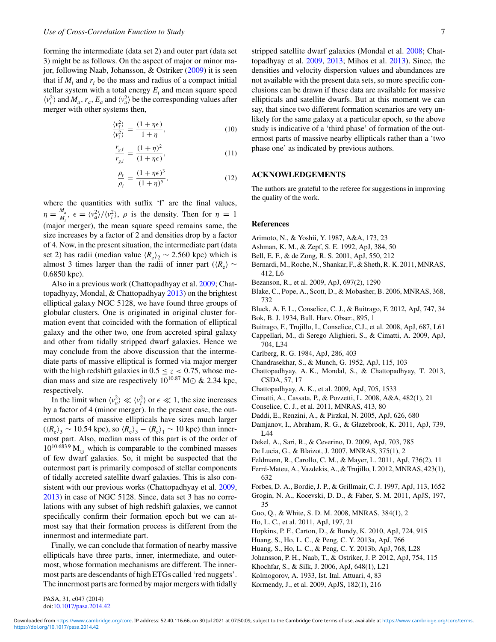forming the intermediate (data set 2) and outer part (data set 3) might be as follows. On the aspect of major or minor major, following Naab, Johansson, & Ostriker (2009) it is seen that if  $M_i$  and  $r_i$  be the mass and radius of a compact initial stellar system with a total energy  $E_i$  and mean square speed  $\langle v_i^2 \rangle$  and  $M_a$ ,  $r_a$ ,  $E_a$  and  $\langle v_a^2 \rangle$  be the corresponding values after merger with other systems then,

$$
\frac{\langle v_{\rm f}^2 \rangle}{\langle v_i^2 \rangle} = \frac{(1 + \eta \epsilon)}{1 + \eta},\tag{10}
$$

$$
\frac{r_{g,\text{f}}}{r_{g,i}} = \frac{(1+\eta)^2}{(1+\eta\epsilon)},\tag{11}
$$

$$
\frac{\rho_{\rm f}}{\rho_{\rm i}} = \frac{(1 + \eta \epsilon)^3}{(1 + \eta)^5},\tag{12}
$$

where the quantities with suffix 'f' are the final values,  $\eta = \frac{M_a}{M}$  $\frac{M_a}{M_i}$ ,  $\epsilon = \langle v_a^2 \rangle / \langle v_i^2 \rangle$ ,  $\rho$  is the density. Then for  $\eta = 1$ (major merger), the mean square speed remains same, the size increases by a factor of 2 and densities drop by a factor of 4. Now, in the present situation, the intermediate part (data set 2) has radii (median value  $\langle R_e \rangle_2 \sim 2.560$  kpc) which is almost 3 times larger than the radii of inner part ( $\langle R_e \rangle \sim$ 0.6850 kpc).

Also in a previous work (Chattopadhyay et al. 2009; Chattopadhyay, Mondal, & Chattopadhyay 2013) on the brightest elliptical galaxy NGC 5128, we have found three groups of globular clusters. One is originated in original cluster formation event that coincided with the formation of elliptical galaxy and the other two, one from accreted spiral galaxy and other from tidally stripped dwarf galaxies. Hence we may conclude from the above discussion that the intermediate parts of massive elliptical is formed via major merger with the high redshift galaxies in  $0.5 \le z < 0.75$ , whose median mass and size are respectively  $10^{10.87}$  M $\odot$  & 2.34 kpc, respectively.

In the limit when  $\langle v_a^2 \rangle \ll \langle v_i^2 \rangle$  or  $\epsilon \ll 1$ , the size increases by a factor of 4 (minor merger). In the present case, the outermost parts of massive ellipticals have sizes much larger  $(\langle R_e \rangle_3 \sim 10.54 \text{ kpc})$ , so  $\langle R_e \rangle_3 - \langle R_e \rangle_1 \sim 10 \text{ kpc}$ ) than innermost part. Also, median mass of this part is of the order of  $10^{10.6839}$  M<sub>o</sub> which is comparable to the combined masses of few dwarf galaxies. So, it might be suspected that the outermost part is primarily composed of stellar components of tidally accreted satellite dwarf galaxies. This is also consistent with our previous works (Chattopadhyay et al. 2009, 2013) in case of NGC 5128. Since, data set 3 has no correlations with any subset of high redshift galaxies, we cannot specifically confirm their formation epoch but we can atmost say that their formation process is different from the innermost and intermediate part.

Finally, we can conclude that formation of nearby massive ellipticals have three parts, inner, intermediate, and outermost, whose formation mechanisms are different. The innermost parts are descendants of high ETGs called 'red nuggets'. The innermost parts are formed by major mergers with tidally stripped satellite dwarf galaxies (Mondal et al. 2008; Chattopadhyay et al. 2009, 2013; Mihos et al. 2013). Since, the densities and velocity dispersion values and abundances are not available with the present data sets, so more specific conclusions can be drawn if these data are available for massive ellipticals and satellite dwarfs. But at this moment we can say, that since two different formation scenarios are very unlikely for the same galaxy at a particular epoch, so the above study is indicative of a 'third phase' of formation of the outermost parts of massive nearby ellipticals rather than a 'two phase one' as indicated by previous authors.

# **ACKNOWLEDGEMENTS**

The authors are grateful to the referee for suggestions in improving the quality of the work.

#### **References**

- Arimoto, N., & Yoshii, Y. 1987, A&A, 173, 23
- Ashman, K. M., & Zepf, S. E. 1992, ApJ, 384, 50
- Bell, E. F., & de Zong, R. S. 2001, ApJ, 550, 212
- Bernardi, M., Roche, N., Shankar, F., & Sheth, R. K. 2011, MNRAS, 412, L6
- Bezanson, R., et al. 2009, ApJ, 697(2), 1290
- Blake, C., Pope, A., Scott, D., & Mobasher, B. 2006, MNRAS, 368, 732
- Bluck, A. F. L., Conselice, C. J., & Buitrago, F. 2012, ApJ, 747, 34
- Bok, B. J. 1934, Bull. Harv. Obser., 895, 1
- Buitrago, F., Trujillo, I., Conselice, C.J., et al. 2008, ApJ, 687, L61
- Cappellari, M., di Serego Alighieri, S., & Cimatti, A. 2009, ApJ, 704, L34
- Carlberg, R. G. 1984, ApJ, 286, 403
- Chandrasekhar, S., & Munch, G. 1952, ApJ, 115, 103
- Chattopadhyay, A. K., Mondal, S., & Chattopadhyay, T. 2013, CSDA, 57, 17
- Chattopadhyay, A. K., et al. 2009, ApJ, 705, 1533
- Cimatti, A., Cassata, P., & Pozzetti, L. 2008, A&A, 482(1), 21
- Conselice, C. J., et al. 2011, MNRAS, 413, 80
- Daddi, E., Renzini, A., & Pirzkal, N. 2005, ApJ, 626, 680
- Damjanov, I., Abraham, R. G., & Glazebrook, K. 2011, ApJ, 739, L44
- Dekel, A., Sari, R., & Ceverino, D. 2009, ApJ, 703, 785
- De Lucia, G., & Blaizot, J. 2007, MNRAS, 375(1), 2
- Feldmann, R., Carollo, C. M., & Mayer, L. 2011, ApJ, 736(2), 11
- Ferré-Mateu, A., Vazdekis, A., & Trujillo, I. 2012, MNRAS, 423(1), 632
- Forbes, D. A., Bordie, J. P., & Grillmair, C. J. 1997, ApJ, 113, 1652
- Grogin, N. A., Kocevski, D. D., & Faber, S. M. 2011, ApJS, 197, 35
- Guo, Q., & White, S. D. M. 2008, MNRAS, 384(1), 2
- Ho, L. C., et al. 2011, ApJ, 197, 21
- Hopkins, P. F., Carton, D., & Bundy, K. 2010, ApJ, 724, 915
- Huang, S., Ho, L. C., & Peng, C. Y. 2013a, ApJ, 766
- Huang, S., Ho, L. C., & Peng, C. Y. 2013b, ApJ, 768, L28
- Johansson, P. H., Naab, T., & Ostriker, J. P. 2012, ApJ, 754, 115
- Khochfar, S., & Silk, J. 2006, ApJ, 648(1), L21
- Kolmogorov, A. 1933, Ist. Ital. Attuari, 4, 83
- Kormendy, J., et al. 2009, ApJS, 182(1), 216